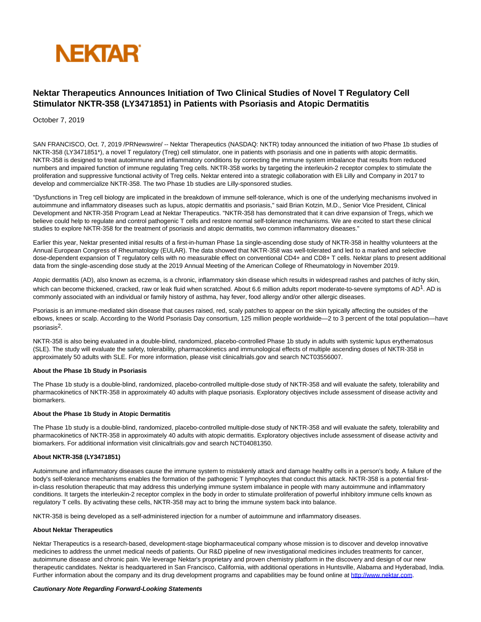

# **Nektar Therapeutics Announces Initiation of Two Clinical Studies of Novel T Regulatory Cell Stimulator NKTR-358 (LY3471851) in Patients with Psoriasis and Atopic Dermatitis**

October 7, 2019

SAN FRANCISCO, Oct. 7, 2019 /PRNewswire/ -- Nektar Therapeutics (NASDAQ: NKTR) today announced the initiation of two Phase 1b studies of NKTR-358 (LY3471851\*), a novel T regulatory (Treg) cell stimulator, one in patients with psoriasis and one in patients with atopic dermatitis. NKTR-358 is designed to treat autoimmune and inflammatory conditions by correcting the immune system imbalance that results from reduced numbers and impaired function of immune regulating Treg cells. NKTR-358 works by targeting the interleukin-2 receptor complex to stimulate the proliferation and suppressive functional activity of Treg cells. Nektar entered into a strategic collaboration with Eli Lilly and Company in 2017 to develop and commercialize NKTR-358. The two Phase 1b studies are Lilly-sponsored studies.

"Dysfunctions in Treg cell biology are implicated in the breakdown of immune self-tolerance, which is one of the underlying mechanisms involved in autoimmune and inflammatory diseases such as lupus, atopic dermatitis and psoriasis," said Brian Kotzin, M.D., Senior Vice President, Clinical Development and NKTR-358 Program Lead at Nektar Therapeutics. "NKTR-358 has demonstrated that it can drive expansion of Tregs, which we believe could help to regulate and control pathogenic T cells and restore normal self-tolerance mechanisms. We are excited to start these clinical studies to explore NKTR-358 for the treatment of psoriasis and atopic dermatitis, two common inflammatory diseases."

Earlier this year, Nektar presented initial results of a first-in-human Phase 1a single-ascending dose study of NKTR-358 in healthy volunteers at the Annual European Congress of Rheumatology (EULAR). The data showed that NKTR-358 was well-tolerated and led to a marked and selective dose-dependent expansion of T regulatory cells with no measurable effect on conventional CD4+ and CD8+ T cells. Nektar plans to present additional data from the single-ascending dose study at the 2019 Annual Meeting of the American College of Rheumatology in November 2019.

Atopic dermatitis (AD), also known as eczema, is a chronic, inflammatory skin disease which results in widespread rashes and patches of itchy skin, which can become thickened, cracked, raw or leak fluid when scratched. About 6.6 million adults report moderate-to-severe symptoms of  $AD<sup>1</sup>$ . AD is commonly associated with an individual or family history of asthma, hay fever, food allergy and/or other allergic diseases.

Psoriasis is an immune-mediated skin disease that causes raised, red, scaly patches to appear on the skin typically affecting the outsides of the elbows, knees or scalp. According to the World Psoriasis Day consortium, 125 million people worldwide—2 to 3 percent of the total population—have psoriasis2.

NKTR-358 is also being evaluated in a double-blind, randomized, placebo-controlled Phase 1b study in adults with systemic lupus erythematosus (SLE). The study will evaluate the safety, tolerability, pharmacokinetics and immunological effects of multiple ascending doses of NKTR-358 in approximately 50 adults with SLE. For more information, please visit clinicaltrials.gov and search NCT03556007.

## **About the Phase 1b Study in Psoriasis**

The Phase 1b study is a double-blind, randomized, placebo-controlled multiple-dose study of NKTR-358 and will evaluate the safety, tolerability and pharmacokinetics of NKTR-358 in approximately 40 adults with plaque psoriasis. Exploratory objectives include assessment of disease activity and biomarkers.

#### **About the Phase 1b Study in Atopic Dermatitis**

The Phase 1b study is a double-blind, randomized, placebo-controlled multiple-dose study of NKTR-358 and will evaluate the safety, tolerability and pharmacokinetics of NKTR-358 in approximately 40 adults with atopic dermatitis. Exploratory objectives include assessment of disease activity and biomarkers. For additional information visit clinicaltrials.gov and search NCT04081350.

## **About NKTR-358 (LY3471851)**

Autoimmune and inflammatory diseases cause the immune system to mistakenly attack and damage healthy cells in a person's body. A failure of the body's self-tolerance mechanisms enables the formation of the pathogenic T lymphocytes that conduct this attack. NKTR-358 is a potential firstin-class resolution therapeutic that may address this underlying immune system imbalance in people with many autoimmune and inflammatory conditions. It targets the interleukin-2 receptor complex in the body in order to stimulate proliferation of powerful inhibitory immune cells known as regulatory T cells. By activating these cells, NKTR-358 may act to bring the immune system back into balance.

NKTR-358 is being developed as a self-administered injection for a number of autoimmune and inflammatory diseases.

## **About Nektar Therapeutics**

Nektar Therapeutics is a research-based, development-stage biopharmaceutical company whose mission is to discover and develop innovative medicines to address the unmet medical needs of patients. Our R&D pipeline of new investigational medicines includes treatments for cancer, autoimmune disease and chronic pain. We leverage Nektar's proprietary and proven chemistry platform in the discovery and design of our new therapeutic candidates. Nektar is headquartered in San Francisco, California, with additional operations in Huntsville, Alabama and Hyderabad, India. Further information about the company and its drug development programs and capabilities may be found online at [http://www.nektar.com.](http://www.nektar.com/)

#### **Cautionary Note Regarding Forward-Looking Statements**